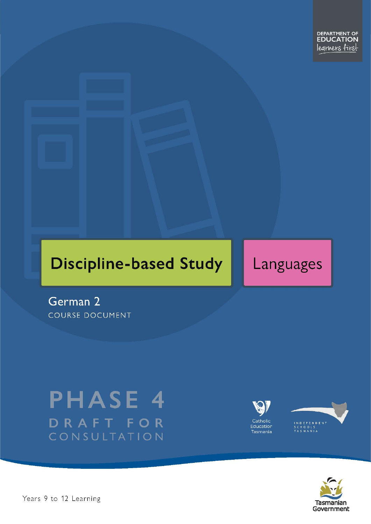# **Discipline-based Study**

# Languages

German 2 **COURSE DOCUMENT** 

# **PHASE 4** DRAFT FOR CONSULTATION





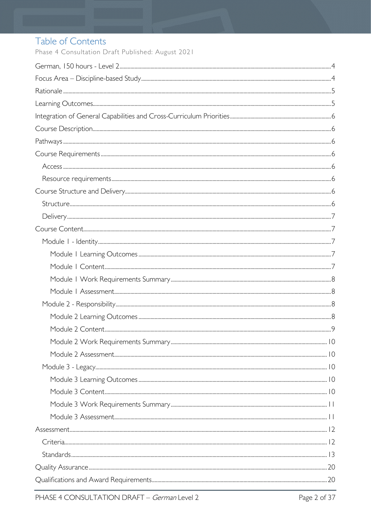# Table of Contents

Phase 4 Consultation Draft Published: August 2021

| $Stand arcs. 13$ |  |
|------------------|--|
|                  |  |
|                  |  |
|                  |  |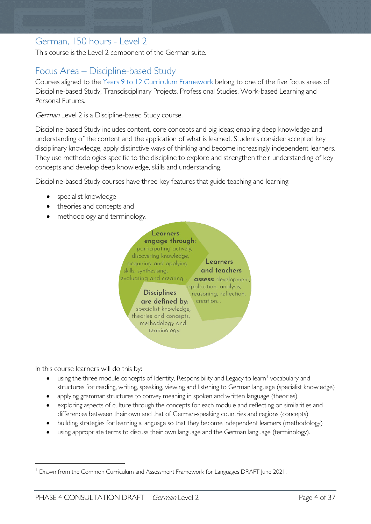# <span id="page-3-0"></span>German, 150 hours - Level 2

This course is the Level 2 component of the German suite.

# <span id="page-3-1"></span>Focus Area – Discipline-based Study

Courses aligned to the [Years 9 to 12 Curriculum Framework](https://publicdocumentcentre.education.tas.gov.au/library/Shared%20Documents/Education%209-12%20Frameworks%20A3%20WEB%20POSTER.pdf) belong to one of the five focus areas of Discipline-based Study, Transdisciplinary Projects, Professional Studies, Work-based Learning and Personal Futures.

German Level 2 is a Discipline-based Study course.

Discipline-based Study includes content, core concepts and big ideas; enabling deep knowledge and understanding of the content and the application of what is learned. Students consider accepted key disciplinary knowledge, apply distinctive ways of thinking and become increasingly independent learners. They use methodologies specific to the discipline to explore and strengthen their understanding of key concepts and develop deep knowledge, skills and understanding.

Discipline-based Study courses have three key features that guide teaching and learning:

- specialist knowledge
- theories and concepts and
- methodology and terminology.



In this course learners will do this by:

- using the three module concepts of Identity, Responsibility and Legacy to learn<sup>[1](#page-3-2)</sup> vocabulary and structures for reading, writing, speaking, viewing and listening to German language (specialist knowledge)
- applying grammar structures to convey meaning in spoken and written language (theories)
- exploring aspects of culture through the concepts for each module and reflecting on similarities and differences between their own and that of German-speaking countries and regions (concepts)
- building strategies for learning a language so that they become independent learners (methodology)
- using appropriate terms to discuss their own language and the German language (terminology).

<span id="page-3-2"></span><sup>&</sup>lt;sup>1</sup> Drawn from the Common Curriculum and Assessment Framework for Languages DRAFT June 2021.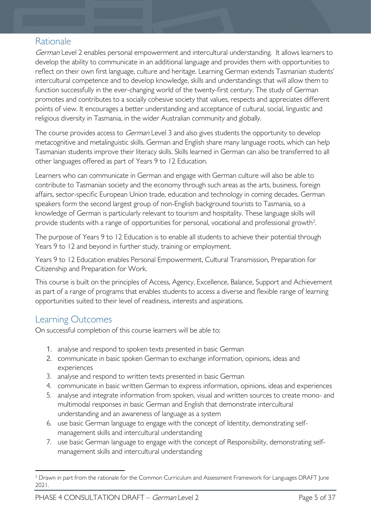# <span id="page-4-0"></span>Rationale

German Level 2 enables personal empowerment and intercultural understanding. It allows learners to develop the ability to communicate in an additional language and provides them with opportunities to reflect on their own first language, culture and heritage. Learning German extends Tasmanian students' intercultural competence and to develop knowledge, skills and understandings that will allow them to function successfully in the ever-changing world of the twenty-first century. The study of German promotes and contributes to a socially cohesive society that values, respects and appreciates different points of view. It encourages a better understanding and acceptance of cultural, social, linguistic and religious diversity in Tasmania, in the wider Australian community and globally.

The course provides access to *German* Level 3 and also gives students the opportunity to develop metacognitive and metalinguistic skills. German and English share many language roots, which can help Tasmanian students improve their literacy skills. Skills learned in German can also be transferred to all other languages offered as part of Years 9 to 12 Education.

Learners who can communicate in German and engage with German culture will also be able to contribute to Tasmanian society and the economy through such areas as the arts, business, foreign affairs, sector-specific European Union trade, education and technology in coming decades. German speakers form the second largest group of non-English background tourists to Tasmania, so a knowledge of German is particularly relevant to tourism and hospitality. These language skills will provide students with a range of opportunities for personal, vocational and professional growth<sup>2</sup>.

The purpose of Years 9 to 12 Education is to enable all students to achieve their potential through Years 9 to 12 and beyond in further study, training or employment.

Years 9 to 12 Education enables Personal Empowerment, Cultural Transmission, Preparation for Citizenship and Preparation for Work.

This course is built on the principles of Access, Agency, Excellence, Balance, Support and Achievement as part of a range of programs that enables students to access a diverse and flexible range of learning opportunities suited to their level of readiness, interests and aspirations.

# <span id="page-4-1"></span>Learning Outcomes

On successful completion of this course learners will be able to:

- 1. analyse and respond to spoken texts presented in basic German
- 2. communicate in basic spoken German to exchange information, opinions, ideas and experiences
- 3. analyse and respond to written texts presented in basic German
- 4. communicate in basic written German to express information, opinions, ideas and experiences
- 5. analyse and integrate information from spoken, visual and written sources to create mono- and multimodal responses in basic German and English that demonstrate intercultural understanding and an awareness of language as a system
- 6. use basic German language to engage with the concept of Identity, demonstrating selfmanagement skills and intercultural understanding
- 7. use basic German language to engage with the concept of Responsibility, demonstrating selfmanagement skills and intercultural understanding

<span id="page-4-2"></span><sup>&</sup>lt;sup>2</sup> Drawn in part from the rationale for the Common Curriculum and Assessment Framework for Languages DRAFT June 2021.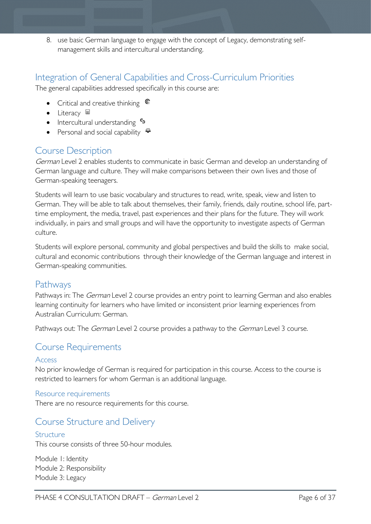8. use basic German language to engage with the concept of Legacy, demonstrating selfmanagement skills and intercultural understanding.

## <span id="page-5-0"></span>Integration of General Capabilities and Cross-Curriculum Priorities

The general capabilities addressed specifically in this course are:

- Critical and creative thinking  $\mathbb{C}$
- $\bullet$  Literacy  $\blacksquare$
- Intercultural understanding •
- Personal and social capability  $\ddot{\ddot{}}$

# <span id="page-5-1"></span>Course Description

German Level 2 enables students to communicate in basic German and develop an understanding of German language and culture. They will make comparisons between their own lives and those of German-speaking teenagers.

Students will learn to use basic vocabulary and structures to read, write, speak, view and listen to German. They will be able to talk about themselves, their family, friends, daily routine, school life, parttime employment, the media, travel, past experiences and their plans for the future. They will work individually, in pairs and small groups and will have the opportunity to investigate aspects of German culture.

Students will explore personal, community and global perspectives and build the skills to make social, cultural and economic contributions through their knowledge of the German language and interest in German-speaking communities.

### <span id="page-5-2"></span>Pathways

Pathways in: The German Level 2 course provides an entry point to learning German and also enables learning continuity for learners who have limited or inconsistent prior learning experiences from Australian Curriculum: German.

Pathways out: The German Level 2 course provides a pathway to the German Level 3 course.

## <span id="page-5-3"></span>Course Requirements

### <span id="page-5-4"></span>Access

No prior knowledge of German is required for participation in this course. Access to the course is restricted to learners for whom German is an additional language.

### <span id="page-5-5"></span>Resource requirements

There are no resource requirements for this course.

## <span id="page-5-6"></span>Course Structure and Delivery

### <span id="page-5-7"></span>Structure

This course consists of three 50-hour modules.

Module 1: Identity Module 2: Responsibility Module 3: Legacy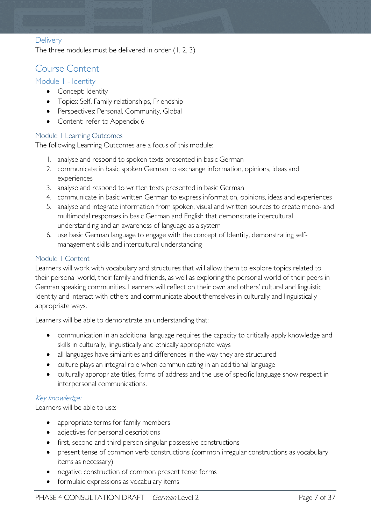### <span id="page-6-0"></span>**Delivery**

The three modules must be delivered in order (1, 2, 3)

### <span id="page-6-1"></span>Course Content

### <span id="page-6-2"></span>Module 1 - Identity

- Concept: Identity
- Topics: Self, Family relationships, Friendship
- Perspectives: Personal, Community, Global
- Content: refer to Appendix 6

### <span id="page-6-3"></span>Module 1 Learning Outcomes

The following Learning Outcomes are a focus of this module:

- 1. analyse and respond to spoken texts presented in basic German
- 2. communicate in basic spoken German to exchange information, opinions, ideas and experiences
- 3. analyse and respond to written texts presented in basic German
- 4. communicate in basic written German to express information, opinions, ideas and experiences
- 5. analyse and integrate information from spoken, visual and written sources to create mono- and multimodal responses in basic German and English that demonstrate intercultural understanding and an awareness of language as a system
- 6. use basic German language to engage with the concept of Identity, demonstrating selfmanagement skills and intercultural understanding

#### <span id="page-6-4"></span>Module 1 Content

Learners will work with vocabulary and structures that will allow them to explore topics related to their personal world, their family and friends, as well as exploring the personal world of their peers in German speaking communities. Learners will reflect on their own and others' cultural and linguistic Identity and interact with others and communicate about themselves in culturally and linguistically appropriate ways.

Learners will be able to demonstrate an understanding that:

- communication in an additional language requires the capacity to critically apply knowledge and skills in culturally, linguistically and ethically appropriate ways
- all languages have similarities and differences in the way they are structured
- culture plays an integral role when communicating in an additional language
- culturally appropriate titles, forms of address and the use of specific language show respect in interpersonal communications.

### Key knowledge:

Learners will be able to use:

- appropriate terms for family members
- adjectives for personal descriptions
- first, second and third person singular possessive constructions
- present tense of common verb constructions (common irregular constructions as vocabulary items as necessary)
- negative construction of common present tense forms
- formulaic expressions as vocabulary items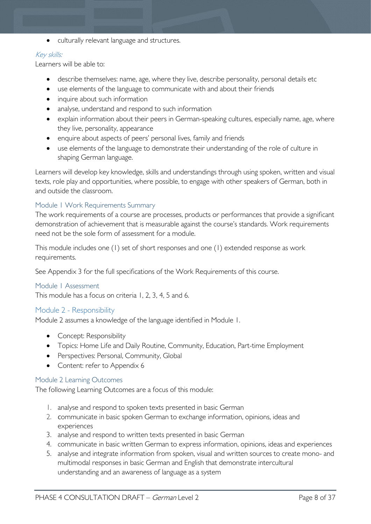• culturally relevant language and structures.

### Key skills:

Learners will be able to:

- describe themselves: name, age, where they live, describe personality, personal details etc
- use elements of the language to communicate with and about their friends
- inquire about such information
- analyse, understand and respond to such information
- explain information about their peers in German-speaking cultures, especially name, age, where they live, personality, appearance
- enquire about aspects of peers' personal lives, family and friends
- use elements of the language to demonstrate their understanding of the role of culture in shaping German language.

Learners will develop key knowledge, skills and understandings through using spoken, written and visual texts, role play and opportunities, where possible, to engage with other speakers of German, both in and outside the classroom.

### <span id="page-7-0"></span>Module 1 Work Requirements Summary

The work requirements of a course are processes, products or performances that provide a significant demonstration of achievement that is measurable against the course's standards. Work requirements need not be the sole form of assessment for a module.

This module includes one (1) set of short responses and one (1) extended response as work requirements.

See Appendix 3 for the full specifications of the Work Requirements of this course.

### <span id="page-7-1"></span>Module 1 Assessment

This module has a focus on criteria 1, 2, 3, 4, 5 and 6.

### <span id="page-7-2"></span>Module 2 - Responsibility

Module 2 assumes a knowledge of the language identified in Module 1.

- Concept: Responsibility
- Topics: Home Life and Daily Routine, Community, Education, Part-time Employment
- Perspectives: Personal, Community, Global
- Content: refer to Appendix 6

### <span id="page-7-3"></span>Module 2 Learning Outcomes

The following Learning Outcomes are a focus of this module:

- 1. analyse and respond to spoken texts presented in basic German
- 2. communicate in basic spoken German to exchange information, opinions, ideas and experiences
- 3. analyse and respond to written texts presented in basic German
- 4. communicate in basic written German to express information, opinions, ideas and experiences
- 5. analyse and integrate information from spoken, visual and written sources to create mono- and multimodal responses in basic German and English that demonstrate intercultural understanding and an awareness of language as a system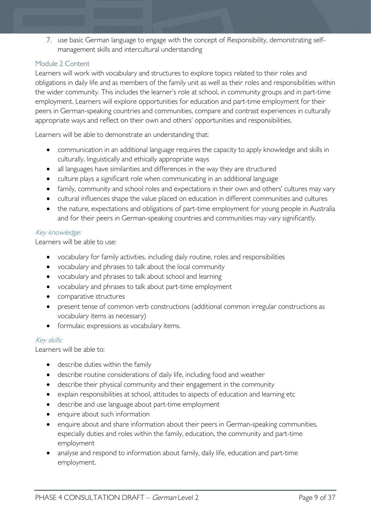7. use basic German language to engage with the concept of Responsibility, demonstrating selfmanagement skills and intercultural understanding

### <span id="page-8-0"></span>Module 2 Content

Learners will work with vocabulary and structures to explore topics related to their roles and obligations in daily life and as members of the family unit as well as their roles and responsibilities within the wider community. This includes the learner's role at school, in community groups and in part-time employment. Learners will explore opportunities for education and part-time employment for their peers in German-speaking countries and communities, compare and contrast experiences in culturally appropriate ways and reflect on their own and others' opportunities and responsibilities.

Learners will be able to demonstrate an understanding that:

- communication in an additional language requires the capacity to apply knowledge and skills in culturally, linguistically and ethically appropriate ways
- all languages have similarities and differences in the way they are structured
- culture plays a significant role when communicating in an additional language
- family, community and school roles and expectations in their own and others' cultures may vary
- cultural influences shape the value placed on education in different communities and cultures
- the nature, expectations and obligations of part-time employment for young people in Australia and for their peers in German-speaking countries and communities may vary significantly.

### Key knowledge:

Learners will be able to use:

- vocabulary for family activities, including daily routine, roles and responsibilities
- vocabulary and phrases to talk about the local community
- vocabulary and phrases to talk about school and learning
- vocabulary and phrases to talk about part-time employment
- comparative structures
- present tense of common verb constructions (additional common irregular constructions as vocabulary items as necessary)
- formulaic expressions as vocabulary items.

### Key skills:

Learners will be able to:

- describe duties within the family
- describe routine considerations of daily life, including food and weather
- describe their physical community and their engagement in the community
- explain responsibilities at school, attitudes to aspects of education and learning etc
- describe and use language about part-time employment
- enquire about such information
- enquire about and share information about their peers in German-speaking communities, especially duties and roles within the family, education, the community and part-time employment
- analyse and respond to information about family, daily life, education and part-time employment.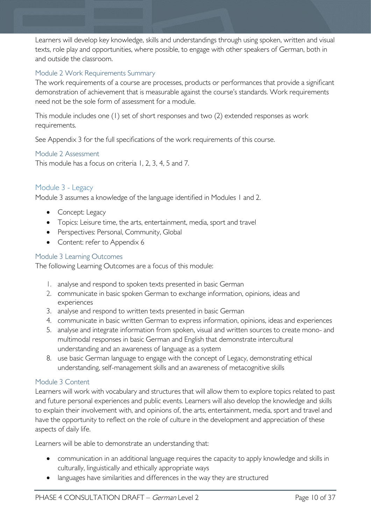Learners will develop key knowledge, skills and understandings through using spoken, written and visual texts, role play and opportunities, where possible, to engage with other speakers of German, both in and outside the classroom.

### <span id="page-9-0"></span>Module 2 Work Requirements Summary

The work requirements of a course are processes, products or performances that provide a significant demonstration of achievement that is measurable against the course's standards. Work requirements need not be the sole form of assessment for a module.

This module includes one (1) set of short responses and two (2) extended responses as work requirements.

See Appendix 3 for the full specifications of the work requirements of this course.

#### <span id="page-9-1"></span>Module 2 Assessment

This module has a focus on criteria 1, 2, 3, 4, 5 and 7.

### <span id="page-9-2"></span>Module 3 - Legacy

Module 3 assumes a knowledge of the language identified in Modules 1 and 2.

- Concept: Legacy
- Topics: Leisure time, the arts, entertainment, media, sport and travel
- Perspectives: Personal, Community, Global
- Content: refer to Appendix 6

#### <span id="page-9-3"></span>Module 3 Learning Outcomes

The following Learning Outcomes are a focus of this module:

- 1. analyse and respond to spoken texts presented in basic German
- 2. communicate in basic spoken German to exchange information, opinions, ideas and experiences
- 3. analyse and respond to written texts presented in basic German
- 4. communicate in basic written German to express information, opinions, ideas and experiences
- 5. analyse and integrate information from spoken, visual and written sources to create mono- and multimodal responses in basic German and English that demonstrate intercultural understanding and an awareness of language as a system
- 8. use basic German language to engage with the concept of Legacy, demonstrating ethical understanding, self-management skills and an awareness of metacognitive skills

### <span id="page-9-4"></span>Module 3 Content

Learners will work with vocabulary and structures that will allow them to explore topics related to past and future personal experiences and public events. Learners will also develop the knowledge and skills to explain their involvement with, and opinions of, the arts, entertainment, media, sport and travel and have the opportunity to reflect on the role of culture in the development and appreciation of these aspects of daily life.

Learners will be able to demonstrate an understanding that:

- communication in an additional language requires the capacity to apply knowledge and skills in culturally, linguistically and ethically appropriate ways
- languages have similarities and differences in the way they are structured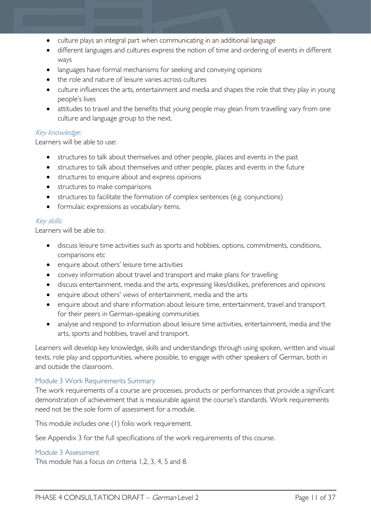- culture plays an integral part when communicating in an additional language
- different languages and cultures express the notion of time and ordering of events in different ways
- languages have formal mechanisms for seeking and conveying opinions
- the role and nature of leisure varies across cultures
- culture influences the arts, entertainment and media and shapes the role that they play in young people's lives
- attitudes to travel and the benefits that young people may glean from travelling vary from one culture and language group to the next.

#### Key knowledge:

Learners will be able to use:

- structures to talk about themselves and other people, places and events in the past
- structures to talk about themselves and other people, places and events in the future
- structures to enquire about and express opinions
- structures to make comparisons
- structures to facilitate the formation of complex sentences (e.g. conjunctions)
- formulaic expressions as vocabulary items.

#### Key skills:

Learners will be able to:

- discuss leisure time activities such as sports and hobbies, options, commitments, conditions, comparisons etc
- enquire about others' leisure time activities
- convey information about travel and transport and make plans for travelling
- discuss entertainment, media and the arts, expressing likes/dislikes, preferences and opinions
- enquire about others' views of entertainment, media and the arts
- enquire about and share information about leisure time, entertainment, travel and transport for their peers in German-speaking communities
- analyse and respond to information about leisure time activities, entertainment, media and the arts, sports and hobbies, travel and transport.

Learners will develop key knowledge, skills and understandings through using spoken, written and visual texts, role play and opportunities, where possible, to engage with other speakers of German, both in and outside the classroom.

#### <span id="page-10-0"></span>Module 3 Work Requirements Summary

The work requirements of a course are processes, products or performances that provide a significant demonstration of achievement that is measurable against the course's standards. Work requirements need not be the sole form of assessment for a module.

This module includes one (1) folio work requirement.

See Appendix 3 for the full specifications of the work requirements of this course.

#### <span id="page-10-1"></span>Module 3 Assessment

This module has a focus on criteria 1,2, 3, 4, 5 and 8.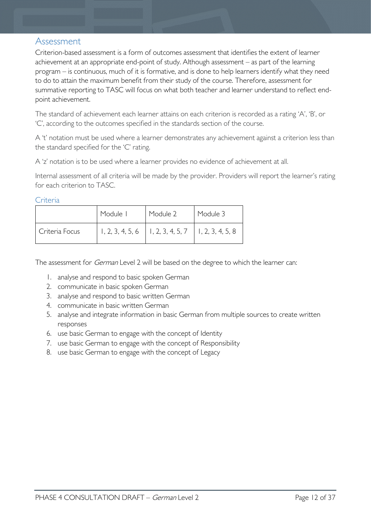### <span id="page-11-0"></span>Assessment

Criterion-based assessment is a form of outcomes assessment that identifies the extent of learner achievement at an appropriate end-point of study. Although assessment – as part of the learning program – is continuous, much of it is formative, and is done to help learners identify what they need to do to attain the maximum benefit from their study of the course. Therefore, assessment for summative reporting to TASC will focus on what both teacher and learner understand to reflect endpoint achievement.

The standard of achievement each learner attains on each criterion is recorded as a rating 'A', 'B', or 'C', according to the outcomes specified in the standards section of the course.

A 't' notation must be used where a learner demonstrates any achievement against a criterion less than the standard specified for the 'C' rating.

A 'z' notation is to be used where a learner provides no evidence of achievement at all.

Internal assessment of all criteria will be made by the provider. Providers will report the learner's rating for each criterion to TASC.

<span id="page-11-1"></span>**Criteria** 

|                | Module I | Module 2                                                                   | Module 3 |
|----------------|----------|----------------------------------------------------------------------------|----------|
| Criteria Focus |          | $\vert$ 1, 2, 3, 4, 5, 6 $\vert$ 1, 2, 3, 4, 5, 7 $\vert$ 1, 2, 3, 4, 5, 8 |          |

The assessment for *German* Level 2 will be based on the degree to which the learner can:

- 1. analyse and respond to basic spoken German
- 2. communicate in basic spoken German
- 3. analyse and respond to basic written German
- 4. communicate in basic written German
- 5. analyse and integrate information in basic German from multiple sources to create written responses
- 6. use basic German to engage with the concept of Identity
- 7. use basic German to engage with the concept of Responsibility
- 8. use basic German to engage with the concept of Legacy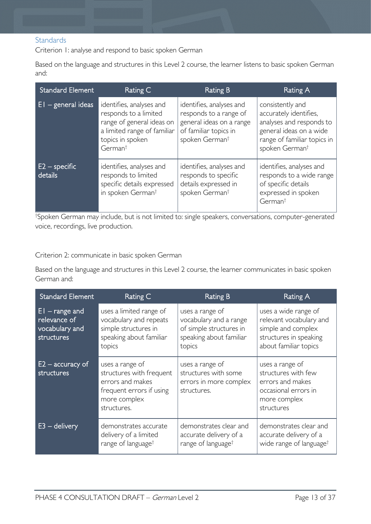### <span id="page-12-0"></span>**Standards**

Criterion 1: analyse and respond to basic spoken German

Based on the language and structures in this Level 2 course, the learner listens to basic spoken German and:

| Standard Element           | Rating C                                                                                                                                                 | Rating B                                                                                                                              | Rating A                                                                                                                                                       |
|----------------------------|----------------------------------------------------------------------------------------------------------------------------------------------------------|---------------------------------------------------------------------------------------------------------------------------------------|----------------------------------------------------------------------------------------------------------------------------------------------------------------|
| $EI - general$ ideas       | identifies, analyses and<br>responds to a limited<br>range of general ideas on<br>a limited range of familiar<br>topics in spoken<br>German <sup>†</sup> | identifies, analyses and<br>responds to a range of<br>general ideas on a range<br>of familiar topics in<br>spoken German <sup>t</sup> | consistently and<br>accurately identifies,<br>analyses and responds to<br>general ideas on a wide<br>range of familiar topics in<br>spoken German <sup>t</sup> |
| $E2$ – specific<br>details | identifies, analyses and<br>responds to limited<br>specific details expressed<br>in spoken German <sup>t</sup>                                           | identifies, analyses and<br>responds to specific<br>details expressed in<br>spoken German <sup>t</sup>                                | identifies, analyses and<br>responds to a wide range<br>of specific details<br>expressed in spoken<br>German <sup>t</sup>                                      |

† Spoken German may include, but is not limited to: single speakers, conversations, computer-generated voice, recordings, live production.

#### Criterion 2: communicate in basic spoken German

Based on the language and structures in this Level 2 course, the learner communicates in basic spoken German and:

| <b>Standard Element</b>                                           | Rating C                                                                                                                   | <b>Rating B</b>                                                                                           | Rating A                                                                                                                 |
|-------------------------------------------------------------------|----------------------------------------------------------------------------------------------------------------------------|-----------------------------------------------------------------------------------------------------------|--------------------------------------------------------------------------------------------------------------------------|
| $ E $ – range and<br>relevance of<br>vocabulary and<br>structures | uses a limited range of<br>vocabulary and repeats<br>simple structures in<br>speaking about familiar<br>topics             | uses a range of<br>vocabulary and a range<br>of simple structures in<br>speaking about familiar<br>topics | uses a wide range of<br>relevant vocabulary and<br>simple and complex<br>structures in speaking<br>about familiar topics |
| $E2$ – accuracy of<br>structures                                  | uses a range of<br>structures with frequent<br>errors and makes<br>frequent errors if using<br>more complex<br>structures. | uses a range of<br>structures with some<br>errors in more complex<br>structures.                          | uses a range of<br>structures with few<br>errors and makes<br>occasional errors in<br>more complex<br>structures         |
| $E3$ – delivery                                                   | demonstrates accurate<br>delivery of a limited<br>range of language <sup>†</sup>                                           | demonstrates clear and<br>accurate delivery of a<br>range of language <sup>†</sup>                        | demonstrates clear and<br>accurate delivery of a<br>wide range of language <sup>†</sup>                                  |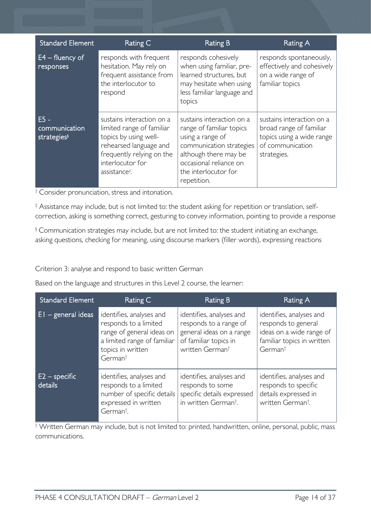| <b>Standard Element</b>                            | Rating C                                                                                                                                                                                | <b>Rating B</b>                                                                                                                                                                                 | <b>Rating A</b>                                                                                                      |
|----------------------------------------------------|-----------------------------------------------------------------------------------------------------------------------------------------------------------------------------------------|-------------------------------------------------------------------------------------------------------------------------------------------------------------------------------------------------|----------------------------------------------------------------------------------------------------------------------|
| $E4 -$ fluency of<br>responses                     | responds with frequent<br>hesitation. May rely on<br>frequent assistance from<br>the interlocutor to<br>respond                                                                         | responds cohesively<br>when using familiar, pre-<br>learned structures, but<br>may hesitate when using<br>less familiar language and<br>topics                                                  | responds spontaneously,<br>effectively and cohesively<br>on a wide range of<br>familiar topics                       |
| $E5 -$<br>communication<br>strategies <sup>§</sup> | sustains interaction on a<br>limited range of familiar<br>topics by using well-<br>rehearsed language and<br>frequently relying on the<br>interlocutor for<br>assistance <sup>‡</sup> . | sustains interaction on a<br>range of familiar topics<br>using a range of<br>communication strategies<br>although there may be<br>occasional reliance on<br>the interlocutor for<br>repetition. | sustains interaction on a<br>broad range of familiar<br>topics using a wide range<br>of communication<br>strategies. |

† Consider pronunciation, stress and intonation.

‡ Assistance may include, but is not limited to: the student asking for repetition or translation, selfcorrection, asking is something correct, gesturing to convey information, pointing to provide a response

§ Communication strategies may include, but are not limited to: the student initiating an exchange, asking questions, checking for meaning, using discourse markers (filler words), expressing reactions

Criterion 3: analyse and respond to basic written German

Based on the language and structures in this Level 2 course, the learner:

| <b>Standard Element</b>    | Rating C                                                                                                                                                  | Rating B                                                                                                                               | Rating A                                                                                                                         |
|----------------------------|-----------------------------------------------------------------------------------------------------------------------------------------------------------|----------------------------------------------------------------------------------------------------------------------------------------|----------------------------------------------------------------------------------------------------------------------------------|
| $E1 - general ideas$       | identifies, analyses and<br>responds to a limited<br>range of general ideas on<br>a limited range of familiar<br>topics in written<br>German <sup>†</sup> | identifies, analyses and<br>responds to a range of<br>general ideas on a range<br>of familiar topics in<br>written German <sup>t</sup> | identifies, analyses and<br>responds to general<br>ideas on a wide range of<br>familiar topics in written<br>German <sup>t</sup> |
| $E2$ – specific<br>details | identifies, analyses and<br>responds to a limited<br>number of specific details<br>expressed in written<br>German <sup>†</sup> .                          | identifies, analyses and<br>responds to some<br>specific details expressed<br>in written German <sup>t</sup> .                         | identifies, analyses and<br>responds to specific<br>details expressed in<br>written German <sup>†</sup> .                        |

† Written German may include, but is not limited to: printed, handwritten, online, personal, public, mass communications.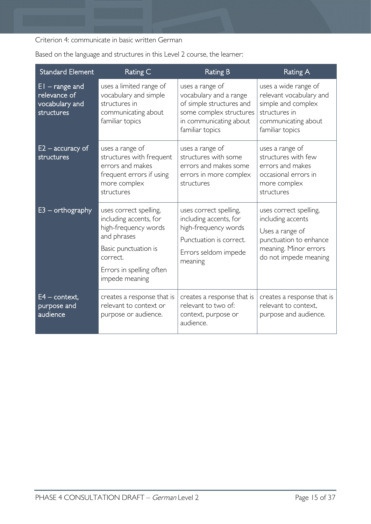Criterion 4: communicate in basic written German

| <b>Standard Element</b>                                          | Rating C                                                                                                                                                                  | <b>Rating B</b>                                                                                                                               | <b>Rating A</b>                                                                                                                            |
|------------------------------------------------------------------|---------------------------------------------------------------------------------------------------------------------------------------------------------------------------|-----------------------------------------------------------------------------------------------------------------------------------------------|--------------------------------------------------------------------------------------------------------------------------------------------|
| $EI$ – range and<br>relevance of<br>vocabulary and<br>structures | uses a limited range of<br>vocabulary and simple<br>structures in<br>communicating about<br>familiar topics                                                               | uses a range of<br>vocabulary and a range<br>of simple structures and<br>some complex structures<br>in communicating about<br>familiar topics | uses a wide range of<br>relevant vocabulary and<br>simple and complex<br>structures in<br>communicating about<br>familiar topics           |
| $E2$ – accuracy of<br>structures                                 | uses a range of<br>structures with frequent<br>errors and makes<br>frequent errors if using<br>more complex<br>structures                                                 | uses a range of<br>structures with some<br>errors and makes some<br>errors in more complex<br>structures                                      | uses a range of<br>structures with few<br>errors and makes<br>occasional errors in<br>more complex<br>structures                           |
| $E3$ – orthography                                               | uses correct spelling,<br>including accents, for<br>high-frequency words<br>and phrases<br>Basic punctuation is<br>correct.<br>Errors in spelling often<br>impede meaning | uses correct spelling,<br>including accents, for<br>high-frequency words<br>Punctuation is correct.<br>Errors seldom impede<br>meaning        | uses correct spelling,<br>including accents<br>Uses a range of<br>punctuation to enhance<br>meaning. Minor errors<br>do not impede meaning |
| $E4$ – context,<br>purpose and<br>audience                       | creates a response that is<br>relevant to context or<br>purpose or audience.                                                                                              | creates a response that is<br>relevant to two of:<br>context, purpose or<br>audience.                                                         | creates a response that is<br>relevant to context,<br>purpose and audience.                                                                |

Based on the language and structures in this Level 2 course, the learner: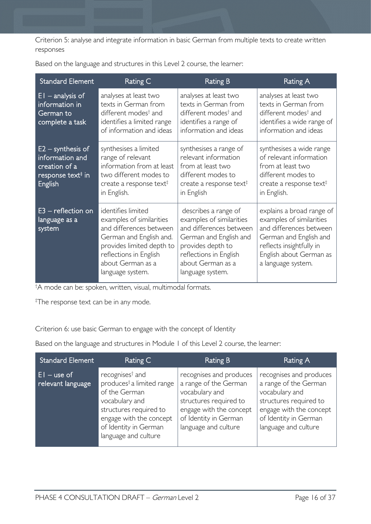Criterion 5: analyse and integrate information in basic German from multiple texts to create written responses

| <b>Standard Element</b>                                                                             | <b>Rating C</b>                                                                                                                                                                                      | <b>Rating B</b>                                                                                                                                                                               | Rating A                                                                                                                                                                                |
|-----------------------------------------------------------------------------------------------------|------------------------------------------------------------------------------------------------------------------------------------------------------------------------------------------------------|-----------------------------------------------------------------------------------------------------------------------------------------------------------------------------------------------|-----------------------------------------------------------------------------------------------------------------------------------------------------------------------------------------|
| $EI$ – analysis of<br>information in<br>German to<br>complete a task                                | analyses at least two<br>texts in German from<br>different modes <sup>†</sup> and<br>identifies a limited range<br>of information and ideas                                                          | analyses at least two<br>texts in German from<br>different modes <sup>†</sup> and<br>identifies a range of<br>information and ideas                                                           | analyses at least two<br>texts in German from<br>different modes <sup>†</sup> and<br>identifies a wide range of<br>information and ideas                                                |
| $E2 -$ synthesis of<br>information and<br>creation of a<br>response text <sup>#</sup> in<br>English | synthesises a limited<br>range of relevant<br>information from at least<br>two different modes to<br>create a response text <sup><math>\ddagger</math></sup><br>in English.                          | synthesises a range of<br>relevant information<br>from at least two<br>different modes to<br>create a response text <sup><math>\ddagger</math></sup><br>in English                            | synthesises a wide range<br>of relevant information<br>from at least two<br>different modes to<br>create a response text <sup><math>\ddagger</math></sup><br>in English.                |
| $E3$ – reflection on<br>language as a<br>system                                                     | identifies limited<br>examples of similarities<br>and differences between<br>German and English and.<br>provides limited depth to<br>reflections in English<br>about German as a<br>language system. | describes a range of<br>examples of similarities<br>and differences between<br>German and English and<br>provides depth to<br>reflections in English<br>about German as a<br>language system. | explains a broad range of<br>examples of similarities<br>and differences between<br>German and English and<br>reflects insightfully in<br>English about German as<br>a language system. |

Based on the language and structures in this Level 2 course, the learner:

† A mode can be: spoken, written, visual, multimodal formats.

‡ The response text can be in any mode.

Criterion 6: use basic German to engage with the concept of Identity

Based on the language and structures in Module 1 of this Level 2 course, the learner:

| <b>Standard Element</b>             | Rating C                                                                                                                                                                                                      | <b>Rating B</b>                                                                                                                                                          | Rating A                                                                                                                                                                 |
|-------------------------------------|---------------------------------------------------------------------------------------------------------------------------------------------------------------------------------------------------------------|--------------------------------------------------------------------------------------------------------------------------------------------------------------------------|--------------------------------------------------------------------------------------------------------------------------------------------------------------------------|
| $ E $ – use of<br>relevant language | recognises <sup>†</sup> and<br>produces <sup>‡</sup> a limited range<br>of the German<br>vocabulary and<br>structures required to<br>engage with the concept<br>of Identity in German<br>language and culture | recognises and produces<br>a range of the German<br>vocabulary and<br>structures required to<br>engage with the concept<br>of Identity in German<br>language and culture | recognises and produces<br>a range of the German<br>vocabulary and<br>structures required to<br>engage with the concept<br>of Identity in German<br>language and culture |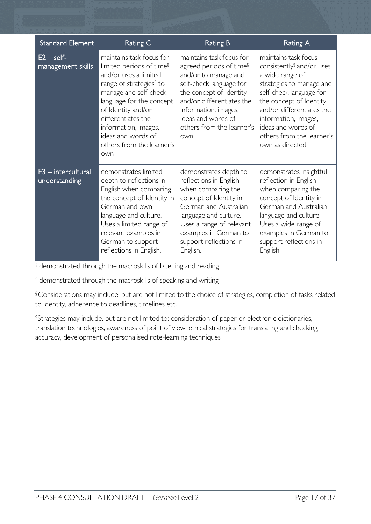| <b>Standard Element</b>               | Rating C                                                                                                                                                                                                                                                                                                            | <b>Rating B</b>                                                                                                                                                                                                                                              | Rating A                                                                                                                                                                                                                                                                                      |
|---------------------------------------|---------------------------------------------------------------------------------------------------------------------------------------------------------------------------------------------------------------------------------------------------------------------------------------------------------------------|--------------------------------------------------------------------------------------------------------------------------------------------------------------------------------------------------------------------------------------------------------------|-----------------------------------------------------------------------------------------------------------------------------------------------------------------------------------------------------------------------------------------------------------------------------------------------|
| $E2 - self$<br>management skills      | maintains task focus for<br>limited periods of time <sup>§</sup><br>and/or uses a limited<br>range of strategies <sup>®</sup> to<br>manage and self-check<br>language for the concept<br>of Identity and/or<br>differentiates the<br>information, images,<br>ideas and words of<br>others from the learner's<br>own | maintains task focus for<br>agreed periods of time <sup>§</sup><br>and/or to manage and<br>self-check language for<br>the concept of Identity<br>and/or differentiates the<br>information, images,<br>ideas and words of<br>others from the learner's<br>own | maintains task focus<br>consistently <sup>§</sup> and/or uses<br>a wide range of<br>strategies to manage and<br>self-check language for<br>the concept of Identity<br>and/or differentiates the<br>information, images,<br>ideas and words of<br>others from the learner's<br>own as directed |
| $E3$ - intercultural<br>understanding | demonstrates limited<br>depth to reflections in<br>English when comparing<br>the concept of Identity in<br>German and own<br>language and culture.<br>Uses a limited range of<br>relevant examples in<br>German to support<br>reflections in English.                                                               | demonstrates depth to<br>reflections in English<br>when comparing the<br>concept of Identity in<br>German and Australian<br>language and culture.<br>Uses a range of relevant<br>examples in German to<br>support reflections in<br>English.                 | demonstrates insightful<br>reflection in English<br>when comparing the<br>concept of Identity in<br>German and Australian<br>language and culture.<br>Uses a wide range of<br>examples in German to<br>support reflections in<br>English.                                                     |

† demonstrated through the macroskills of listening and reading

‡ demonstrated through the macroskills of speaking and writing

§ Considerations may include, but are not limited to the choice of strategies, completion of tasks related to Identity, adherence to deadlines, timelines etc.

◊ Strategies may include, but are not limited to: consideration of paper or electronic dictionaries, translation technologies, awareness of point of view, ethical strategies for translating and checking accuracy, development of personalised rote-learning techniques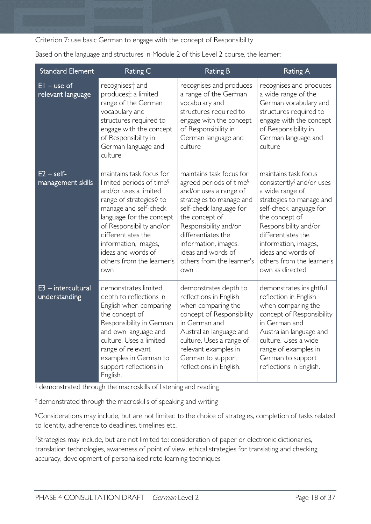Criterion 7: use basic German to engage with the concept of Responsibility

Based on the language and structures in Module 2 of this Level 2 course, the learner:

| <b>Standard Element</b>               | Rating C                                                                                                                                                                                                                                                                                                      | <b>Rating B</b>                                                                                                                                                                                                                                                                                     | <b>Rating A</b>                                                                                                                                                                                                                                                                                        |
|---------------------------------------|---------------------------------------------------------------------------------------------------------------------------------------------------------------------------------------------------------------------------------------------------------------------------------------------------------------|-----------------------------------------------------------------------------------------------------------------------------------------------------------------------------------------------------------------------------------------------------------------------------------------------------|--------------------------------------------------------------------------------------------------------------------------------------------------------------------------------------------------------------------------------------------------------------------------------------------------------|
| $EI - use of$<br>relevant language    | recognises <sup>+</sup> and<br>produces‡ a limited<br>range of the German<br>vocabulary and<br>structures required to<br>engage with the concept<br>of Responsibility in<br>German language and<br>culture                                                                                                    | recognises and produces<br>a range of the German<br>vocabulary and<br>structures required to<br>engage with the concept<br>of Responsibility in<br>German language and<br>culture                                                                                                                   | recognises and produces<br>a wide range of the<br>German vocabulary and<br>structures required to<br>engage with the concept<br>of Responsibility in<br>German language and<br>culture                                                                                                                 |
| $E2 - self$<br>management skills      | maintains task focus for<br>limited periods of time <sup>§</sup><br>and/or uses a limited<br>range of strategies◊ to<br>manage and self-check<br>language for the concept<br>of Responsibility and/or<br>differentiates the<br>information, images,<br>ideas and words of<br>others from the learner's<br>own | maintains task focus for<br>agreed periods of time <sup>§</sup><br>and/or uses a range of<br>strategies to manage and<br>self-check language for<br>the concept of<br>Responsibility and/or<br>differentiates the<br>information, images,<br>ideas and words of<br>others from the learner's<br>own | maintains task focus<br>consistently <sup>§</sup> and/or uses<br>a wide range of<br>strategies to manage and<br>self-check language for<br>the concept of<br>Responsibility and/or<br>differentiates the<br>information, images,<br>ideas and words of<br>others from the learner's<br>own as directed |
| $E3$ - intercultural<br>understanding | demonstrates limited<br>depth to reflections in<br>English when comparing<br>the concept of<br>Responsibility in German<br>and own language and<br>culture. Uses a limited<br>range of relevant<br>examples in German to<br>support reflections in<br>English.                                                | demonstrates depth to<br>reflections in English<br>when comparing the<br>concept of Responsibility<br>in German and<br>Australian language and<br>culture. Uses a range of<br>relevant examples in<br>German to support<br>reflections in English.                                                  | demonstrates insightful<br>reflection in English<br>when comparing the<br>concept of Responsibility<br>in German and<br>Australian language and<br>culture. Uses a wide<br>range of examples in<br>German to support<br>reflections in English.                                                        |

† demonstrated through the macroskills of listening and reading

‡ demonstrated through the macroskills of speaking and writing

§ Considerations may include, but are not limited to the choice of strategies, completion of tasks related to Identity, adherence to deadlines, timelines etc.

◊ Strategies may include, but are not limited to: consideration of paper or electronic dictionaries, translation technologies, awareness of point of view, ethical strategies for translating and checking accuracy, development of personalised rote-learning techniques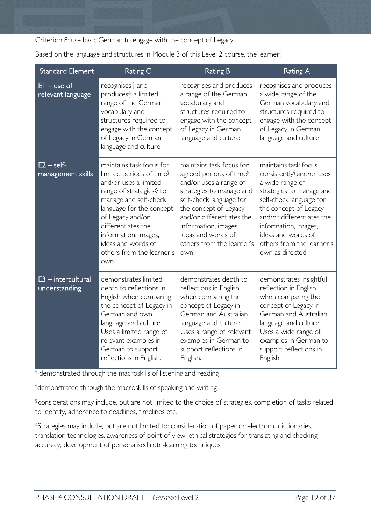Criterion 8: use basic German to engage with the concept of Legacy

Based on the language and structures in Module 3 of this Level 2 course, the learner:

| <b>Standard Element</b>               | Rating C                                                                                                                                                                                                                                                                                               | <b>Rating B</b>                                                                                                                                                                                                                                                                           | <b>Rating A</b>                                                                                                                                                                                                                                                                              |
|---------------------------------------|--------------------------------------------------------------------------------------------------------------------------------------------------------------------------------------------------------------------------------------------------------------------------------------------------------|-------------------------------------------------------------------------------------------------------------------------------------------------------------------------------------------------------------------------------------------------------------------------------------------|----------------------------------------------------------------------------------------------------------------------------------------------------------------------------------------------------------------------------------------------------------------------------------------------|
| $EI - use of$<br>relevant language    | recognises <sup>+</sup> and<br>produces‡ a limited<br>range of the German<br>vocabulary and<br>structures required to<br>engage with the concept<br>of Legacy in German<br>language and culture                                                                                                        | recognises and produces<br>a range of the German<br>vocabulary and<br>structures required to<br>engage with the concept<br>of Legacy in German<br>language and culture                                                                                                                    | recognises and produces<br>a wide range of the<br>German vocabulary and<br>structures required to<br>engage with the concept<br>of Legacy in German<br>language and culture                                                                                                                  |
| $E2 - self$ -<br>management skills    | maintains task focus for<br>limited periods of time <sup>§</sup><br>and/or uses a limited<br>range of strategies◊ to<br>manage and self-check<br>language for the concept<br>of Legacy and/or<br>differentiates the<br>information, images,<br>ideas and words of<br>others from the learner's<br>own. | maintains task focus for<br>agreed periods of time <sup>§</sup><br>and/or uses a range of<br>strategies to manage and<br>self-check language for<br>the concept of Legacy<br>and/or differentiates the<br>information, images,<br>ideas and words of<br>others from the learner's<br>own. | maintains task focus<br>consistently <sup>§</sup> and/or uses<br>a wide range of<br>strategies to manage and<br>self-check language for<br>the concept of Legacy<br>and/or differentiates the<br>information, images,<br>ideas and words of<br>others from the learner's<br>own as directed. |
| $E3$ – intercultural<br>understanding | demonstrates limited<br>depth to reflections in<br>English when comparing<br>the concept of Legacy in<br>German and own<br>language and culture.<br>Uses a limited range of<br>relevant examples in<br>German to support<br>reflections in English.                                                    | demonstrates depth to<br>reflections in English<br>when comparing the<br>concept of Legacy in<br>German and Australian<br>language and culture.<br>Uses a range of relevant<br>examples in German to<br>support reflections in<br>English.                                                | demonstrates insightful<br>reflection in English<br>when comparing the<br>concept of Legacy in<br>German and Australian<br>language and culture.<br>Uses a wide range of<br>examples in German to<br>support reflections in<br>English.                                                      |

† demonstrated through the macroskills of listening and reading

‡ demonstrated through the macroskills of speaking and writing

§ considerations may include, but are not limited to the choice of strategies, completion of tasks related to Identity, adherence to deadlines, timelines etc.

◊ Strategies may include, but are not limited to: consideration of paper or electronic dictionaries, translation technologies, awareness of point of view, ethical strategies for translating and checking accuracy, development of personalised rote-learning techniques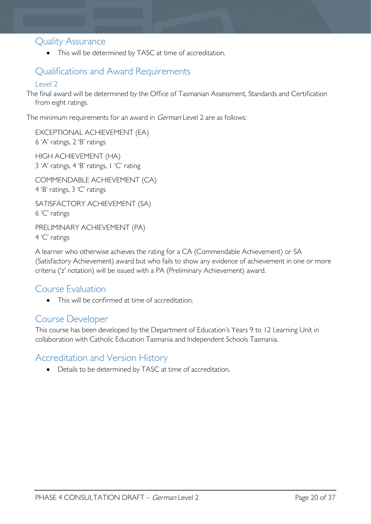### <span id="page-19-0"></span>Quality Assurance

• This will be determined by TASC at time of accreditation.

# <span id="page-19-1"></span>Qualifications and Award Requirements

### <span id="page-19-2"></span>Level 2

The final award will be determined by the Office of Tasmanian Assessment, Standards and Certification from eight ratings.

The minimum requirements for an award in *German* Level 2 are as follows:

EXCEPTIONAL ACHIEVEMENT (EA) 6 'A' ratings, 2 'B' ratings HIGH ACHIEVEMENT (HA) 3 'A' ratings, 4 'B' ratings, 1 'C' rating COMMENDABLE ACHIEVEMENT (CA) 4 'B' ratings, 3 'C' ratings SATISFACTORY ACHIEVEMENT (SA) 6 'C' ratings PRELIMINARY ACHIEVEMENT (PA) 4 'C' ratings

A learner who otherwise achieves the rating for a CA (Commendable Achievement) or SA (Satisfactory Achievement) award but who fails to show any evidence of achievement in one or more criteria ('z' notation) will be issued with a PA (Preliminary Achievement) award.

## <span id="page-19-3"></span>Course Evaluation

• This will be confirmed at time of accreditation.

### <span id="page-19-4"></span>Course Developer

This course has been developed by the Department of Education's Years 9 to 12 Learning Unit in collaboration with Catholic Education Tasmania and Independent Schools Tasmania.

## <span id="page-19-5"></span>Accreditation and Version History

• Details to be determined by TASC at time of accreditation.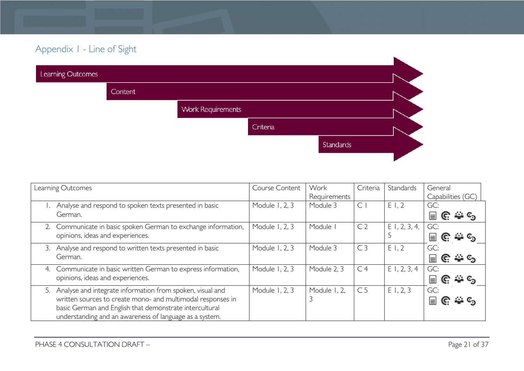# Appendix 1 - Line of Sight

| Learning Outcomes |         |                          |          |           |  |
|-------------------|---------|--------------------------|----------|-----------|--|
|                   | Content |                          |          |           |  |
|                   |         | <b>Work Requirements</b> |          |           |  |
|                   |         |                          | Criteria |           |  |
|                   |         |                          |          | Standards |  |
|                   |         |                          |          |           |  |

<span id="page-20-0"></span>

| Learning Outcomes                                                 | Course Content | Work         | Criteria       | Standards       | General                                     |
|-------------------------------------------------------------------|----------------|--------------|----------------|-----------------|---------------------------------------------|
|                                                                   |                | Requirements |                |                 | Capabilities (GC)                           |
| Analyse and respond to spoken texts presented in basic            | Module 1, 2, 3 | Module 3     | $\subset$      | E1,2            | GC:                                         |
| German.                                                           |                |              |                |                 | $\mathbb{C} \cong \mathbb{C}$<br>$\equiv$   |
| 2. Communicate in basic spoken German to exchange information,    | Module 1, 2, 3 | Module       | C <sub>2</sub> | $E$ 1, 2, 3, 4, | GC:                                         |
| opinions, ideas and experiences.                                  |                |              |                |                 | G.<br>$\equiv$                              |
| Analyse and respond to written texts presented in basic<br>3.     | Module 1, 2, 3 | Module 3     | C <sub>3</sub> | E1,2            | GC:                                         |
| German.                                                           |                |              |                |                 | <b>ALL</b> C <sub>2</sub><br>G.<br>$\equiv$ |
| Communicate in basic written German to express information,<br>4. | Module 1, 2, 3 | Module 2, 3  | C <sub>4</sub> | $E$ 1, 2, 3, 4  | GC:                                         |
| opinions, ideas and experiences.                                  |                |              |                |                 | င္ပြး ႏိူး ၆၅<br>$\equiv$                   |
| 5. Analyse and integrate information from spoken, visual and      | Module 1, 2, 3 | Module 1, 2, | C <sub>5</sub> | E1, 2, 3        | GC:                                         |
| written sources to create mono- and multimodal responses in       |                |              |                |                 | $\equiv$<br>.್ಲಿ ⊙ೂ<br>C.                   |
| basic German and English that demonstrate intercultural           |                |              |                |                 |                                             |
| understanding and an awareness of language as a system.           |                |              |                |                 |                                             |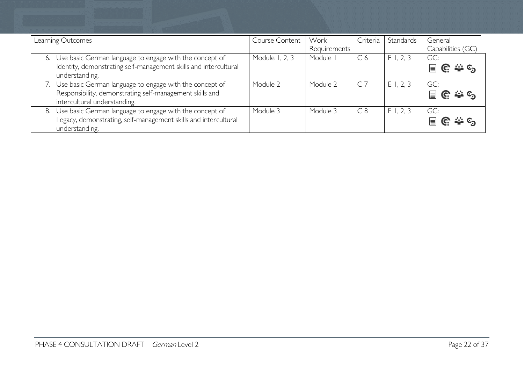|    | Learning Outcomes                                                                                                                                   | Course Content | Work<br>Requirements | Criteria       | Standards | General<br>Capabilities (GC) |
|----|-----------------------------------------------------------------------------------------------------------------------------------------------------|----------------|----------------------|----------------|-----------|------------------------------|
| 6. | Use basic German language to engage with the concept of<br>Identity, demonstrating self-management skills and intercultural<br>understanding.       | Module 1, 2, 3 | Module               | C <sub>6</sub> | E1, 2, 3  | GC:<br>$\equiv$              |
|    | Use basic German language to engage with the concept of<br>Responsibility, demonstrating self-management skills and<br>intercultural understanding. | Module 2       | Module 2             | $C$ 7          | E1, 2, 3  | GC:<br>$\equiv$              |
| 8. | Use basic German language to engage with the concept of<br>Legacy, demonstrating, self-management skills and intercultural<br>understanding.        | Module 3       | Module 3             | C8             | E1, 2, 3  | GC:<br>$\equiv$              |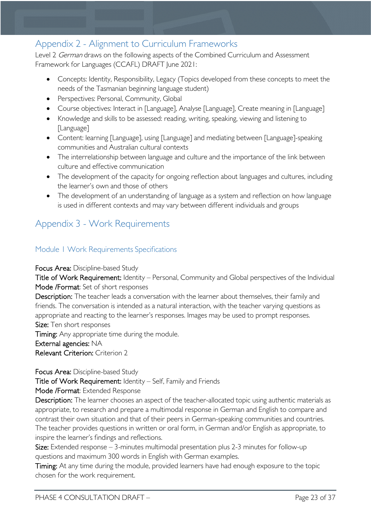# <span id="page-22-0"></span>Appendix 2 - Alignment to Curriculum Frameworks

Level 2 German draws on the following aspects of the Combined Curriculum and Assessment Framework for Languages (CCAFL) DRAFT June 2021:

- Concepts: Identity, Responsibility, Legacy (Topics developed from these concepts to meet the needs of the Tasmanian beginning language student)
- Perspectives: Personal, Community, Global
- Course objectives: Interact in [Language], Analyse [Language], Create meaning in [Language]
- Knowledge and skills to be assessed: reading, writing, speaking, viewing and listening to [Language]
- Content: learning [Language], using [Language] and mediating between [Language]-speaking communities and Australian cultural contexts
- The interrelationship between language and culture and the importance of the link between culture and effective communication
- The development of the capacity for ongoing reflection about languages and cultures, including the learner's own and those of others
- The development of an understanding of language as a system and reflection on how language is used in different contexts and may vary between different individuals and groups

# <span id="page-22-1"></span>Appendix 3 - Work Requirements

### <span id="page-22-2"></span>Module 1 Work Requirements Specifications

### Focus Area: Discipline-based Study

Title of Work Requirement: Identity – Personal, Community and Global perspectives of the Individual Mode /Format: Set of short responses

Description: The teacher leads a conversation with the learner about themselves, their family and friends. The conversation is intended as a natural interaction, with the teacher varying questions as appropriate and reacting to the learner's responses. Images may be used to prompt responses. Size: Ten short responses

Timing: Any appropriate time during the module.

### External agencies: NA

Relevant Criterion: Criterion 2

Focus Area: Discipline-based Study Title of Work Requirement: Identity – Self, Family and Friends

Mode /Format: Extended Response

Description: The learner chooses an aspect of the teacher-allocated topic using authentic materials as appropriate, to research and prepare a multimodal response in German and English to compare and contrast their own situation and that of their peers in German-speaking communities and countries. The teacher provides questions in written or oral form, in German and/or English as appropriate, to inspire the learner's findings and reflections.

Size: Extended response – 3-minutes multimodal presentation plus 2-3 minutes for follow-up questions and maximum 300 words in English with German examples.

Timing: At any time during the module, provided learners have had enough exposure to the topic chosen for the work requirement.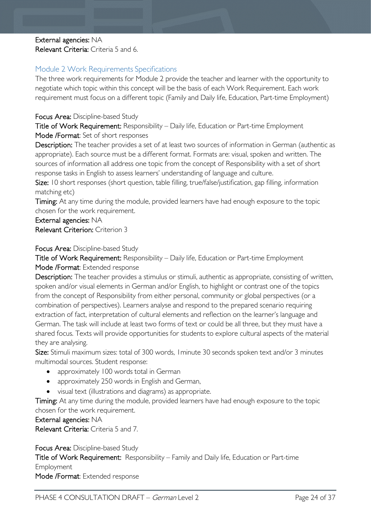### External agencies: NA Relevant Criteria: Criteria 5 and 6.

### <span id="page-23-0"></span>Module 2 Work Requirements Specifications

The three work requirements for Module 2 provide the teacher and learner with the opportunity to negotiate which topic within this concept will be the basis of each Work Requirement. Each work requirement must focus on a different topic (Family and Daily life, Education, Part-time Employment)

### Focus Area: Discipline-based Study

Title of Work Requirement: Responsibility – Daily life, Education or Part-time Employment Mode /Format: Set of short responses

Description: The teacher provides a set of at least two sources of information in German (authentic as appropriate). Each source must be a different format. Formats are: visual, spoken and written. The sources of information all address one topic from the concept of Responsibility with a set of short response tasks in English to assess learners' understanding of language and culture.

Size: 10 short responses (short question, table filling, true/false/justification, gap filling, information matching etc)

Timing: At any time during the module, provided learners have had enough exposure to the topic chosen for the work requirement.

External agencies: NA Relevant Criterion: Criterion 3

### Focus Area: Discipline-based Study

Title of Work Requirement: Responsibility – Daily life, Education or Part-time Employment Mode /Format: Extended response

Description: The teacher provides a stimulus or stimuli, authentic as appropriate, consisting of written, spoken and/or visual elements in German and/or English, to highlight or contrast one of the topics from the concept of Responsibility from either personal, community or global perspectives (or a combination of perspectives). Learners analyse and respond to the prepared scenario requiring extraction of fact, interpretation of cultural elements and reflection on the learner's language and German. The task will include at least two forms of text or could be all three, but they must have a shared focus. Texts will provide opportunities for students to explore cultural aspects of the material they are analysing.

Size: Stimuli maximum sizes: total of 300 words, I minute 30 seconds spoken text and/or 3 minutes multimodal sources. Student response:

- approximately 100 words total in German
- approximately 250 words in English and German,
- visual text (illustrations and diagrams) as appropriate.

Timing: At any time during the module, provided learners have had enough exposure to the topic chosen for the work requirement.

External agencies: NA

Relevant Criteria: Criteria 5 and 7.

Focus Area: Discipline-based Study Title of Work Requirement: Responsibility – Family and Daily life, Education or Part-time Employment Mode /Format: Extended response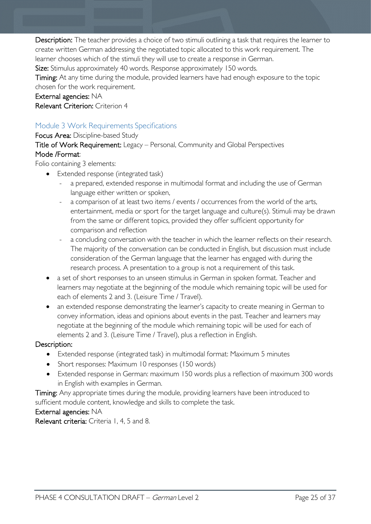Description: The teacher provides a choice of two stimuli outlining a task that requires the learner to create written German addressing the negotiated topic allocated to this work requirement. The learner chooses which of the stimuli they will use to create a response in German.

Size: Stimulus approximately 40 words. Response approximately 150 words.

Timing: At any time during the module, provided learners have had enough exposure to the topic chosen for the work requirement.

External agencies: NA

Relevant Criterion: Criterion 4

### <span id="page-24-0"></span>Module 3 Work Requirements Specifications

Focus Area: Discipline-based Study

Title of Work Requirement: Legacy – Personal, Community and Global Perspectives Mode /Format:

Folio containing 3 elements:

- Extended response (integrated task)
	- a prepared, extended response in multimodal format and including the use of German language either written or spoken,
	- a comparison of at least two items / events / occurrences from the world of the arts, entertainment, media or sport for the target language and culture(s). Stimuli may be drawn from the same or different topics, provided they offer sufficient opportunity for comparison and reflection
	- a concluding conversation with the teacher in which the learner reflects on their research. The majority of the conversation can be conducted in English, but discussion must include consideration of the German language that the learner has engaged with during the research process. A presentation to a group is not a requirement of this task.
- a set of short responses to an unseen stimulus in German in spoken format. Teacher and learners may negotiate at the beginning of the module which remaining topic will be used for each of elements 2 and 3. (Leisure Time / Travel).
- an extended response demonstrating the learner's capacity to create meaning in German to convey information, ideas and opinions about events in the past. Teacher and learners may negotiate at the beginning of the module which remaining topic will be used for each of elements 2 and 3. (Leisure Time / Travel), plus a reflection in English.

### Description:

- Extended response (integrated task) in multimodal format: Maximum 5 minutes
- Short responses: Maximum 10 responses (150 words)
- Extended response in German: maximum 150 words plus a reflection of maximum 300 words in English with examples in German.

Timing: Any appropriate times during the module, providing learners have been introduced to sufficient module content, knowledge and skills to complete the task.

### External agencies: NA

Relevant criteria: Criteria 1, 4, 5 and 8.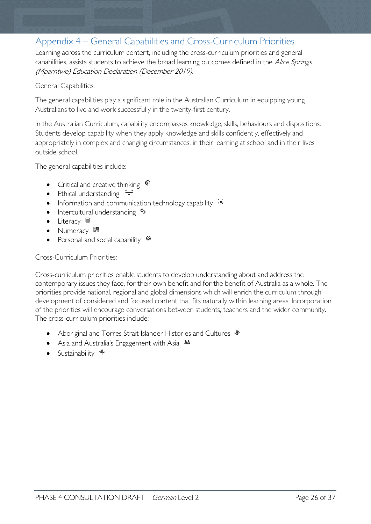# <span id="page-25-0"></span>Appendix 4 – General Capabilities and Cross-Curriculum Priorities

Learning across the curriculum content, including the cross-curriculum priorities and general capabilities, assists students to achieve the broad learning outcomes defined in the Alice Springs (Mparntwe) Education Declaration (December 2019).

### General Capabilities:

The general capabilities play a significant role in the Australian Curriculum in equipping young Australians to live and work successfully in the twenty-first century.

In the Australian Curriculum, capability encompasses knowledge, skills, behaviours and dispositions. Students develop capability when they apply knowledge and skills confidently, effectively and appropriately in complex and changing circumstances, in their learning at school and in their lives outside school.

The general capabilities include:

- Critical and creative thinking  $\mathbb{C}$
- Ethical understanding  $\div$
- Information and communication technology capability  $\cdot \star$
- Intercultural understanding •
- Literacy  $\blacksquare$
- Numeracy
- Personal and social capability

### Cross-Curriculum Priorities:

Cross-curriculum priorities enable students to develop understanding about and address the contemporary issues they face, for their own benefit and for the benefit of Australia as a whole. The priorities provide national, regional and global dimensions which will enrich the curriculum through development of considered and focused content that fits naturally within learning areas. Incorporation of the priorities will encourage conversations between students, teachers and the wider community. The cross-curriculum priorities include:

- Aboriginal and Torres Strait Islander Histories and Cultures  $\mathscr W$
- Asia and Australia's Engagement with Asia **AA**
- Sustainability  $\triangleleft$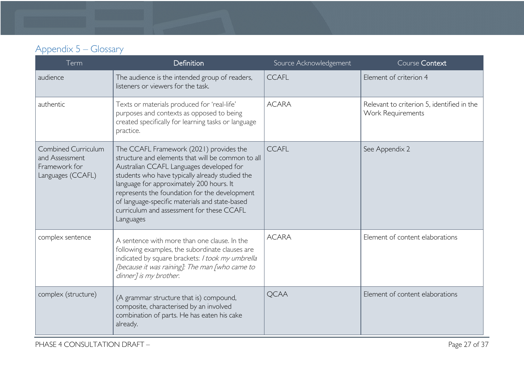# Appendix 5 – Glossary

<span id="page-26-0"></span>

| Term                                                                               | <b>Definition</b>                                                                                                                                                                                                                                                                                                                                                                                    | Source Acknowledgement | Course Context                                                  |
|------------------------------------------------------------------------------------|------------------------------------------------------------------------------------------------------------------------------------------------------------------------------------------------------------------------------------------------------------------------------------------------------------------------------------------------------------------------------------------------------|------------------------|-----------------------------------------------------------------|
| audience                                                                           | The audience is the intended group of readers,<br>listeners or viewers for the task.                                                                                                                                                                                                                                                                                                                 | <b>CCAFL</b>           | Element of criterion 4                                          |
| authentic                                                                          | Texts or materials produced for 'real-life'<br>purposes and contexts as opposed to being<br>created specifically for learning tasks or language<br>practice.                                                                                                                                                                                                                                         | <b>ACARA</b>           | Relevant to criterion 5, identified in the<br>Work Requirements |
| <b>Combined Curriculum</b><br>and Assessment<br>Framework for<br>Languages (CCAFL) | The CCAFL Framework (2021) provides the<br>structure and elements that will be common to all<br>Australian CCAFL Languages developed for<br>students who have typically already studied the<br>language for approximately 200 hours. It<br>represents the foundation for the development<br>of language-specific materials and state-based<br>curriculum and assessment for these CCAFL<br>Languages | <b>CCAFL</b>           | See Appendix 2                                                  |
| complex sentence                                                                   | A sentence with more than one clause. In the<br>following examples, the subordinate clauses are<br>indicated by square brackets: I took my umbrella<br>[because it was raining]; The man [who came to<br>dinner] is my brother.                                                                                                                                                                      | <b>ACARA</b>           | Element of content elaborations                                 |
| complex (structure)                                                                | (A grammar structure that is) compound,<br>composite, characterised by an involved<br>combination of parts. He has eaten his cake<br>already.                                                                                                                                                                                                                                                        | <b>QCAA</b>            | Element of content elaborations                                 |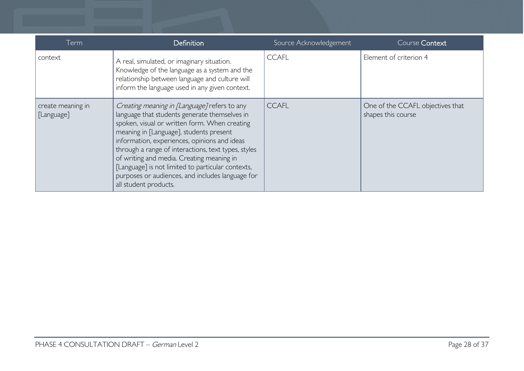| Term                            | <b>Definition</b>                                                                                                                                                                                                                                                                                                                                                                                                                                                               | Source Acknowledgement | Course Context                                         |
|---------------------------------|---------------------------------------------------------------------------------------------------------------------------------------------------------------------------------------------------------------------------------------------------------------------------------------------------------------------------------------------------------------------------------------------------------------------------------------------------------------------------------|------------------------|--------------------------------------------------------|
| context                         | A real, simulated, or imaginary situation.<br>Knowledge of the language as a system and the<br>relationship between language and culture will<br>inform the language used in any given context.                                                                                                                                                                                                                                                                                 | <b>CCAFL</b>           | Element of criterion 4                                 |
| create meaning in<br>[Language] | Creating meaning in [Language] refers to any<br>language that students generate themselves in<br>spoken, visual or written form. When creating<br>meaning in [Language], students present<br>information, experiences, opinions and ideas<br>through a range of interactions, text types, styles<br>of writing and media. Creating meaning in<br>[Language] is not limited to particular contexts,<br>purposes or audiences, and includes language for<br>all student products. | <b>CCAFL</b>           | One of the CCAFL objectives that<br>shapes this course |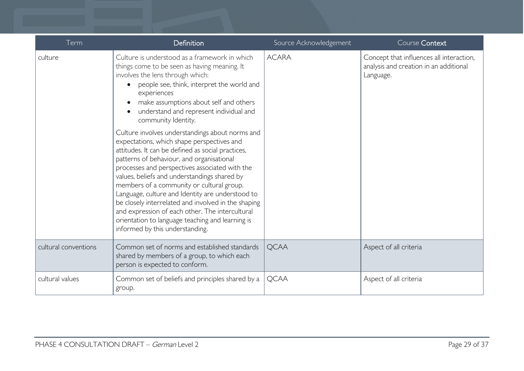| Term                 | Definition                                                                                                                                                                                                                                                                                                                                                                                                                                                                                                                                                                                          | Source Acknowledgement | Course Context                                                                                  |
|----------------------|-----------------------------------------------------------------------------------------------------------------------------------------------------------------------------------------------------------------------------------------------------------------------------------------------------------------------------------------------------------------------------------------------------------------------------------------------------------------------------------------------------------------------------------------------------------------------------------------------------|------------------------|-------------------------------------------------------------------------------------------------|
| culture              | Culture is understood as a framework in which<br>things come to be seen as having meaning. It<br>involves the lens through which:<br>people see, think, interpret the world and<br>experiences<br>make assumptions about self and others<br>understand and represent individual and<br>community Identity.                                                                                                                                                                                                                                                                                          | <b>ACARA</b>           | Concept that influences all interaction,<br>analysis and creation in an additional<br>Language. |
|                      | Culture involves understandings about norms and<br>expectations, which shape perspectives and<br>attitudes. It can be defined as social practices,<br>patterns of behaviour, and organisational<br>processes and perspectives associated with the<br>values, beliefs and understandings shared by<br>members of a community or cultural group.<br>Language, culture and Identity are understood to<br>be closely interrelated and involved in the shaping<br>and expression of each other. The intercultural<br>orientation to language teaching and learning is<br>informed by this understanding. |                        |                                                                                                 |
| cultural conventions | Common set of norms and established standards<br>shared by members of a group, to which each<br>person is expected to conform.                                                                                                                                                                                                                                                                                                                                                                                                                                                                      | <b>QCAA</b>            | Aspect of all criteria                                                                          |
| cultural values      | Common set of beliefs and principles shared by a<br>group.                                                                                                                                                                                                                                                                                                                                                                                                                                                                                                                                          | <b>QCAA</b>            | Aspect of all criteria                                                                          |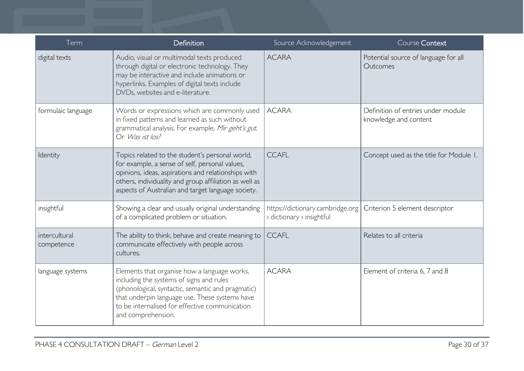| Term                        | Definition                                                                                                                                                                                                                                                               | Source Acknowledgement                                        | Course Context                                              |
|-----------------------------|--------------------------------------------------------------------------------------------------------------------------------------------------------------------------------------------------------------------------------------------------------------------------|---------------------------------------------------------------|-------------------------------------------------------------|
| digital texts               | Audio, visual or multimodal texts produced<br>through digital or electronic technology. They<br>may be interactive and include animations or<br>hyperlinks. Examples of digital texts include<br>DVDs, websites and e-literature.                                        | <b>ACARA</b>                                                  | Potential source of language for all<br>Outcomes            |
| formulaic language          | Words or expressions which are commonly used<br>in fixed patterns and learned as such without<br>grammatical analysis. For example, Mir geht's gut.<br>Or Was ist los?                                                                                                   | <b>ACARA</b>                                                  | Definition of entries under module<br>knowledge and content |
| Identity                    | Topics related to the student's personal world,<br>for example, a sense of self, personal values,<br>opinions, ideas, aspirations and relationships with<br>others, individuality and group affiliation as well as<br>aspects of Australian and target language society. | <b>CCAFL</b>                                                  | Concept used as the title for Module 1.                     |
| insightful                  | Showing a clear and usually original understanding<br>of a complicated problem or situation.                                                                                                                                                                             | https://dictionary.cambridge.org<br>> dictionary > insightful | Criterion 5 element descriptor                              |
| intercultural<br>competence | The ability to think, behave and create meaning to<br>communicate effectively with people across<br>cultures.                                                                                                                                                            | <b>CCAFL</b>                                                  | Relates to all criteria                                     |
| language systems            | Elements that organise how a language works,<br>including the systems of signs and rules<br>(phonological, syntactic, semantic and pragmatic)<br>that underpin language use. These systems have<br>to be internalised for effective communication<br>and comprehension.  | <b>ACARA</b>                                                  | Element of criteria 6, 7 and 8                              |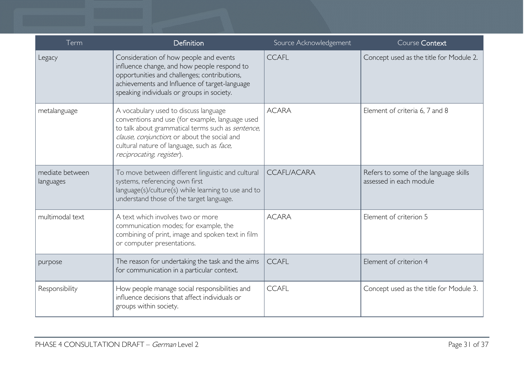| Term                         | <b>Definition</b>                                                                                                                                                                                                                                                        | Source Acknowledgement | Course Context                                                   |
|------------------------------|--------------------------------------------------------------------------------------------------------------------------------------------------------------------------------------------------------------------------------------------------------------------------|------------------------|------------------------------------------------------------------|
| Legacy                       | Consideration of how people and events<br>influence change, and how people respond to<br>opportunities and challenges; contributions,<br>achievements and Influence of target-language<br>speaking individuals or groups in society.                                     | <b>CCAFL</b>           | Concept used as the title for Module 2.                          |
| metalanguage                 | A vocabulary used to discuss language<br>conventions and use (for example, language used<br>to talk about grammatical terms such as sentence,<br>clause, conjunction, or about the social and<br>cultural nature of language, such as face,<br>reciprocating, register). | <b>ACARA</b>           | Element of criteria 6, 7 and 8                                   |
| mediate between<br>languages | To move between different linguistic and cultural<br>systems, referencing own first<br>language(s)/culture(s) while learning to use and to<br>understand those of the target language.                                                                                   | <b>CCAFL/ACARA</b>     | Refers to some of the language skills<br>assessed in each module |
| multimodal text              | A text which involves two or more<br>communication modes; for example, the<br>combining of print, image and spoken text in film<br>or computer presentations.                                                                                                            | <b>ACARA</b>           | Element of criterion 5                                           |
| purpose                      | The reason for undertaking the task and the aims<br>for communication in a particular context.                                                                                                                                                                           | <b>CCAFL</b>           | Element of criterion 4                                           |
| Responsibility               | How people manage social responsibilities and<br>influence decisions that affect individuals or<br>groups within society.                                                                                                                                                | <b>CCAFL</b>           | Concept used as the title for Module 3.                          |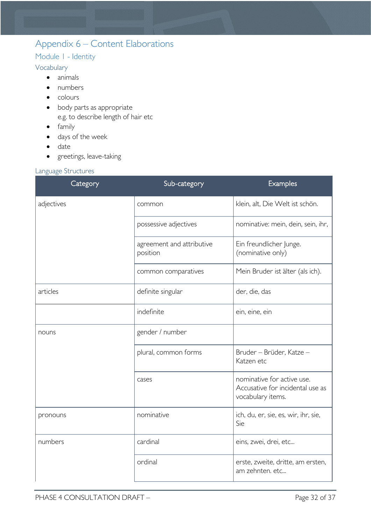# <span id="page-31-0"></span>Appendix 6 – Content Elaborations

### <span id="page-31-1"></span>Module 1 - Identity

### <span id="page-31-2"></span>Vocabulary

- animals
- numbers
- colours
- body parts as appropriate e.g. to describe length of hair etc
- family
- days of the week
- date
- greetings, leave-taking

### <span id="page-31-3"></span>Language Structures

| Category   | Sub-category                          | Examples                                                                            |
|------------|---------------------------------------|-------------------------------------------------------------------------------------|
| adjectives | common                                | klein, alt, Die Welt ist schön.                                                     |
|            | possessive adjectives                 | nominative: mein, dein, sein, ihr,                                                  |
|            | agreement and attributive<br>position | Ein freundlicher Junge.<br>(nominative only)                                        |
|            | common comparatives                   | Mein Bruder ist älter (als ich).                                                    |
| articles   | definite singular                     | der, die, das                                                                       |
|            | indefinite                            | ein, eine, ein                                                                      |
| nouns      | gender / number                       |                                                                                     |
|            | plural, common forms                  | Bruder - Brüder, Katze -<br>Katzen etc                                              |
|            | cases                                 | nominative for active use.<br>Accusative for incidental use as<br>vocabulary items. |
| pronouns   | nominative                            | ich, du, er, sie, es, wir, ihr, sie,<br>Sie                                         |
| numbers    | cardinal                              | eins, zwei, drei, etc                                                               |
|            | ordinal                               | erste, zweite, dritte, am ersten,<br>am zehnten, etc                                |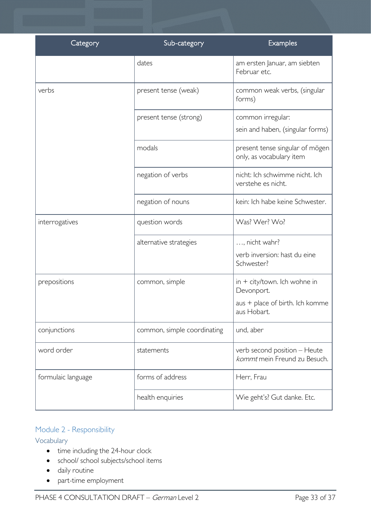| Category           | Sub-category                | Examples                                                     |
|--------------------|-----------------------------|--------------------------------------------------------------|
|                    | dates                       | am ersten Januar, am siebten<br>Februar etc.                 |
| verbs              | present tense (weak)        | common weak verbs, (singular<br>forms)                       |
|                    | present tense (strong)      | common irregular:<br>sein and haben, (singular forms)        |
|                    | modals                      | present tense singular of mögen<br>only, as vocabulary item  |
|                    | negation of verbs           | nicht: Ich schwimme nicht. Ich<br>verstehe es nicht.         |
|                    | negation of nouns           | kein: Ich habe keine Schwester.                              |
| interrogatives     | question words              | Was? Wer? Wo?                                                |
|                    | alternative strategies      | , nicht wahr?                                                |
|                    |                             | verb inversion: hast du eine<br>Schwester?                   |
| prepositions       | common, simple              | $\sin + \text{city/town}$ . Ich wohne in<br>Devonport.       |
|                    |                             | aus + place of birth. Ich komme<br>aus Hobart.               |
| conjunctions       | common, simple coordinating | und, aber                                                    |
| word order         | statements                  | verb second position - Heute<br>kommt mein Freund zu Besuch. |
| formulaic language | forms of address            | Herr, Frau                                                   |
|                    | health enquiries            | Wie geht's? Gut danke. Etc.                                  |

# <span id="page-32-0"></span>Module 2 - Responsibility

### <span id="page-32-1"></span>Vocabulary

- time including the 24-hour clock
- school/ school subjects/school items
- daily routine
- part-time employment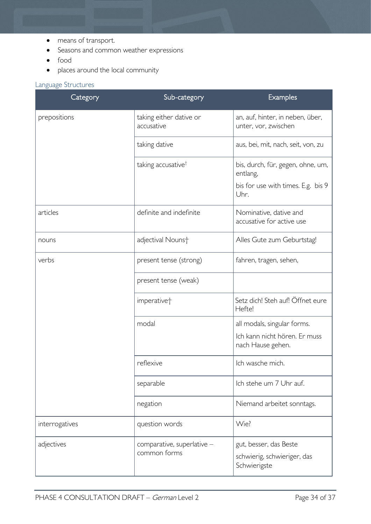- means of transport.
- Seasons and common weather expressions
- food
- places around the local community

### <span id="page-33-0"></span>Language Structures

| Category       | Sub-category                               | <b>Examples</b>                                                       |
|----------------|--------------------------------------------|-----------------------------------------------------------------------|
| prepositions   | taking either dative or<br>accusative      | an, auf, hinter, in neben, über,<br>unter, vor, zwischen              |
|                | taking dative                              | aus, bei, mit, nach, seit, von, zu                                    |
|                | taking accusative <sup>†</sup>             | bis, durch, für, gegen, ohne, um,<br>entlang,                         |
|                |                                            | bis for use with times. E.g. bis 9<br>Uhr.                            |
| articles       | definite and indefinite                    | Nominative, dative and<br>accusative for active use                   |
| nouns          | adjectival Nouns+                          | Alles Gute zum Geburtstag!                                            |
| verbs          | present tense (strong)                     | fahren, tragen, sehen,                                                |
|                | present tense (weak)                       |                                                                       |
|                | imperative <sup>+</sup>                    | Setz dich! Steh auf! Öffnet eure<br>Hefte!                            |
|                | modal                                      | all modals, singular forms.                                           |
|                |                                            | Ich kann nicht hören. Er muss<br>nach Hause gehen.                    |
|                | reflexive                                  | Ich wasche mich.                                                      |
|                | separable                                  | Ich stehe um 7 Uhr auf.                                               |
|                | negation                                   | Niemand arbeitet sonntags.                                            |
| interrogatives | question words                             | Wie?                                                                  |
| adjectives     | comparative, superlative -<br>common forms | gut, besser, das Beste<br>schwierig, schwieriger, das<br>Schwierigste |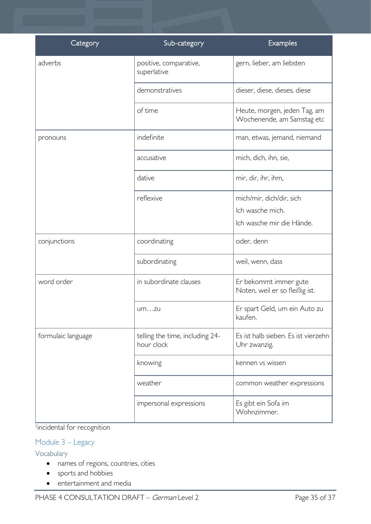| Category           | Sub-category                                  | <b>Examples</b>                                            |
|--------------------|-----------------------------------------------|------------------------------------------------------------|
| adverbs            | positive, comparative,<br>superlative         | gern, lieber, am liebsten                                  |
|                    | demonstratives                                | dieser, diese, dieses, diese                               |
|                    | of time                                       | Heute, morgen, jeden Tag, am<br>Wochenende, am Samstag etc |
| pronouns           | indefinite                                    | man, etwas, jemand, niemand                                |
|                    | accusative                                    | mich, dich, ihn, sie,                                      |
|                    | dative                                        | mir, dir, ihr, ihm,                                        |
|                    | reflexive                                     | mich/mir, dich/dir, sich                                   |
|                    |                                               | Ich wasche mich.                                           |
|                    |                                               | Ich wasche mir die Hände.                                  |
| conjunctions       | coordinating                                  | oder, denn                                                 |
|                    | subordinating                                 | weil, wenn, dass                                           |
| word order         | in subordinate clauses                        | Er bekommt immer gute<br>Noten, weil er so fleißig ist.    |
|                    | umzu                                          | Er spart Geld, um ein Auto zu<br>kaufen.                   |
| formulaic language | telling the time, including 24-<br>hour clock | Es ist halb sieben. Es ist vierzehn<br>Uhr zwanzig.        |
|                    | knowing                                       | kennen vs wissen                                           |
|                    | weather                                       | common weather expressions                                 |
|                    | impersonal expressions                        | Es gibt ein Sofa im<br>Wohnzimmer.                         |

† incidental for recognition

# <span id="page-34-0"></span>Module 3 – Legacy

### <span id="page-34-1"></span>Vocabulary

- names of regions, countries, cities
- sports and hobbies
- entertainment and media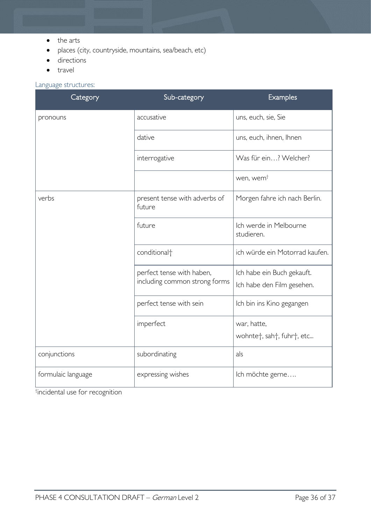- the arts
- places (city, countryside, mountains, sea/beach, etc)
- directions
- travel

#### <span id="page-35-0"></span>Language structures:

| Category           | Sub-category                                               | Examples                                                         |
|--------------------|------------------------------------------------------------|------------------------------------------------------------------|
| pronouns           | accusative                                                 | uns, euch, sie, Sie                                              |
|                    | dative                                                     | uns, euch, ihnen, Ihnen                                          |
|                    | interrogative                                              | Was für ein? Welcher?                                            |
|                    |                                                            | wen, wem <sup>+</sup>                                            |
| verbs              | present tense with adverbs of<br>future                    | Morgen fahre ich nach Berlin.                                    |
|                    | future                                                     | Ich werde in Melbourne<br>studieren.                             |
|                    | conditional <sup>+</sup>                                   | ich würde ein Motorrad kaufen.                                   |
|                    | perfect tense with haben,<br>including common strong forms | Ich habe ein Buch gekauft.                                       |
|                    |                                                            | Ich habe den Film gesehen.                                       |
|                    | perfect tense with sein                                    | Ich bin ins Kino gegangen                                        |
|                    | imperfect                                                  | war, hatte,                                                      |
|                    |                                                            | wohnte <sup>+</sup> , sah <sup>+</sup> , fuhr <sup>+</sup> , etc |
| conjunctions       | subordinating                                              | als                                                              |
| formulaic language | expressing wishes                                          | Ich möchte gerne                                                 |

† incidental use for recognition